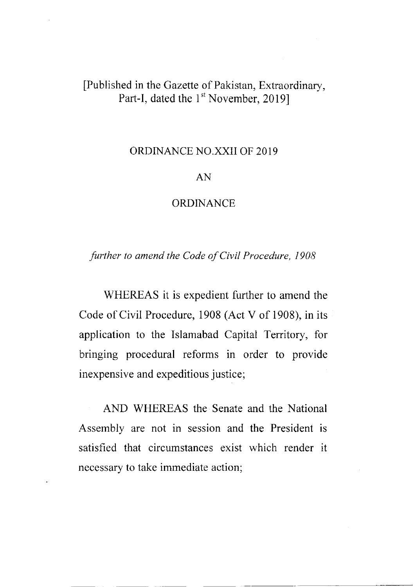# [Published in the Gazette of Pakistan, Extraordinary, Part-I, dated the 1<sup>st</sup> November, 2019]

## ORDINANCE NO.XXII OF 2019

### AN

### **ORDINANCE**

further to amend the Code of Civil Procedure, <sup>1908</sup>

WHEREAS it is expedient further to amend the Code of Civil Procedure, 1908 (Act V of 1908), in its application to the Islamabad Capital Territory, for bringing procedural reforms in order to provide inexpensive and expeditious justice;

AND WHEREAS the Senate and the National Assembly are not in session and the President is satisfied that circumstances exist which render it necessary to take immediate action;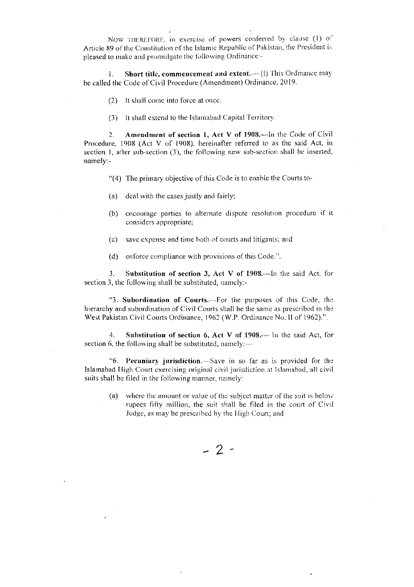NOW THEREFORE, in exercise of powers conferred by clause (1)  $0^{\circ}$ Article 89 of the Constitution of the Islamic Republic of Pakistan, the President is pleased to make and promulgate the following Ordinance:-

Short title, commencement and extent.-- (!) This Ordinance may L. be called the Code of Civil Procedure (Amendment) Ordinance, 2019.

- (2) It shall come into force at once.
- (3) It shall extend to the Islamabad Capital Territory.

Amendment of section 1, Act V of 1908.—In the Code of Civil  $2.$ Procedure, 1908 (Act V of 1908), hereinafter referred to as the said Act, in section 1, after sub-section (3), the following new sub-section shall be inserted, namely:-

- "(4) The primary objective of this Code is to enable the Courts to-
- $(a)$ deal with the cases justly and fairly;
- (b) encourage parties to alternate dispute resolution procedure if it considers appropriate;
- (c) save expense and time both of courts and litigants; and
- enforce compliance with provisions of this Code.".  $(d)$

Substitution of section 3, Act V of 1908.-- In the said Act, for  $3.$ section 3, the following shall be substituted, namely:-

"3. Subordination of Courts.—For the purposes of this Code, the hierarchy and subordination of Civil Courts shall be the same as prescribed in the West Pakistan Civil Courts Ordinance, 1962 (W.P. Ordinance No. II of 1962).".

 $4.$ Substitution of section 6, Act V of 1908.-- In the said Act, for section 6, the following shall be substituted, namely:-

"6. Pecuniary jurisdiction.—Save in so far as is provided for the Islamabad High Court exercising original civil jurisdiction at Islamabad, all civil suits shall be filed in the following manner, namely:

where the amount or value of the subject matter of the suit is below  $(a)$ rupees fifty million, the suit shall be filed in the court of Civil Judge, as may be prescribed by the High Court; and

 $-2-$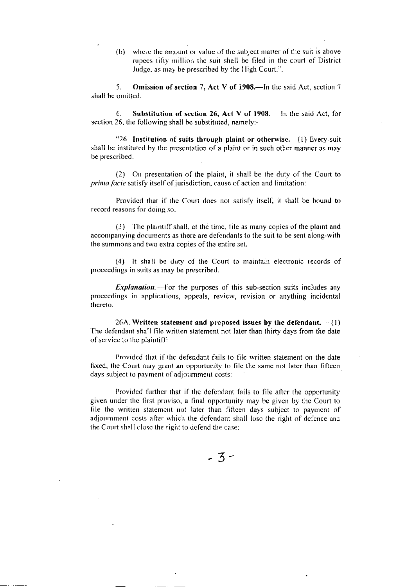(b) where the amount or value of the subject matter of the suit is above rupces lifty rnillion the suit shall be filed in the court of District Judge, as may be prescribed by the High Court.".

5. Omission of section 7, Act V of 1908.—In the said Act, section 7 shall be omitted.

6. Substitution of section 26, Act V of  $1908 - \ln$  the said Act, for section 26, the following shall be substituted, namely:-

"26. Institution of suits through plaint or otherwise. $-$ (1) Every-suit shall be instituted by the presentation of a plaint or in such other manner as may be prescribed.

(2) On prcsentation of the plaiur, it shall be the duty of the Courl to prima facie satisfy itself of jurisdiction, cause of action and limitation:

Provided that if the Court does not satisfy itself, it shall be bound to record reasons for doing so.

 $(3)$  The plaintiff shall, at the time, file as many copies of the plaint and accompanying documents as there are defendants to the suit to be sent along-with the summons and two extra copies of the entire set.

(4) It shall be duty of the Court to maintain electronic records of proceedings in suits as may be prescribed.

**Explanation.**--- For the purposes of this sub-section suits includes any proceedings in applications, appeals, review, revision or anything incidental therelo.

26A. Written statement and proposed issues by the defendant. $\rightarrow$  (1) The defendant shall file written statement not later than thirty days from the date of service to the plaintiff:

Provided that if the defendant fails to file written statement on the date fixed, the Court may grant an opportunity to file the same not later than fifteen days subject to payment of adjournment costs:

Provided further that if the defendant fails to file after the opportunity given under the first proviso, a final opportunity may be given by the Court to file the written statement not later than fifteen days subject to payment of adjournment costs after which the defendant shall lose the right of defence and the Court shall close the right to defend the case: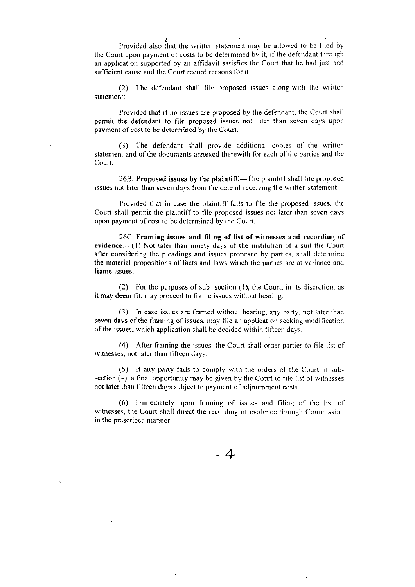Provided also that the written statement may be allowed to be filed by the Court upon payment of costs to be determined by it, if the defendant through an application supported by an affidavit satisfies the Court that he had just and sufficient cause and the Court record reasons for it.

The defendant shall file proposed issues along-with the written  $(2)$ statement:

Provided that if no issues are proposed by the defendant, the Court shall permit the defendant to file proposed issues not later than seven days upon payment of cost to be determined by the Court.

(3) The defendant shall provide additional copies of the written statement and of the documents annexed therewith for each of the parties and the Court.

26B. Proposed issues by the plaintiff.-The plaintiff shall file proposed issues not later than seven days from the date of receiving the written statement:

Provided that in case the plaintiff fails to file the proposed issues, the Court shall permit the plaintiff to file proposed issues not later than seven days upon payment of cost to be determined by the Court.

26C. Framing issues and filing of list of witnesses and recording of evidence.-(1) Not later than ninety days of the institution of a suit the Court after considering the pleadings and issues proposed by parties, shall determine the material propositions of facts and laws which the parties are at variance and frame issues.

(2) For the purposes of sub-section (1), the Court, in its discretion, as it may deem fit, may proceed to frame issues without hearing.

 $(3)$  In case issues are framed without hearing, any party, not later than seven days of the framing of issues, may file an application seeking modification of the issues, which application shall be decided within fifteen days.

(4) After framing the issues, the Court shall order parties to file list of witnesses, not later than fifteen days.

(5) If any party fails to comply with the orders of the Court in subsection (4), a final opportunity may be given by the Court to file list of witnesses not later than fifteen days subject to payment of adjournment costs.

(6) Immediately upon framing of issues and filing of the list of witnesses, the Court shall direct the recording of evidence through Commission in the prescribed manner.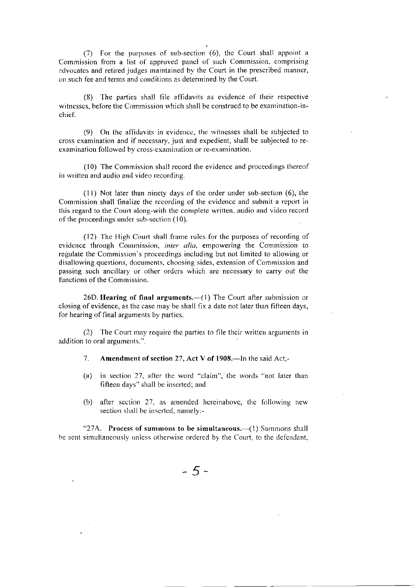(7) For the purposes of sub-section (6), the Court shall appoint a Commission from a list of approved panel of such Commission, comprising advocates and retired judges maintained by the Court in the prescribed manner, on such fee and terms and conditions as detennined by the Court.

(8) 1'he parties shall file affidavits as evidence of their respective witnesses, before the Commission which shall be construed to be examination-inchief.

 $(9)$  On the affidavits in evidence, the witnesses shall be subjected to cross examination and if necessary, just and expedient, shall be subjected to reexamination followed hy cross-cxamiuation or re-examination.

(10) The Commission shall record the evidence and procecdings thereof in written and audio and video recording.

(ll) Not later than nincty days of the order under sub-section (6), the Commission shall finalize the recording of the evidence and submit a report in this regard to the Court along-with the complete written, audio and video record of the proceedings under sub-section (10).

(12) The High Court shall frame rules for the purposes of recording of evidence through Commission, inter alia, empowering the Commission to regulate the Commission's proceedings including but not limited to allowing or disallowing questions, documents, choosing sides, extension of Commission and passing such ancillary or other orders which are necessary to carry out the functions of the Commission.

26D. Hearing of final arguments.-(1) The Court after submission or closing of evidence, as the case may be shall fix a date not later than fifteen days, for hearing of final arguments by parties.

(2) The Court may require the parties to file their written arguments in addition to oral arguments.".

7. Amendment of section 27, Act V of 1908.—In the said Act,-

- (a) in section 27, after the word "claim", the words "not later than fiftecn days" shall bc inscrted; and
- (b) after section 27, as amended hereinabove, the following new section shall be inserted, namely:-

" $27A$ . Process of summons to be simultaneous.  $\left(1\right)$  Summons shall be sent simultaneously unless otherwise ordered by the Court, to the defendant,

 $-5-$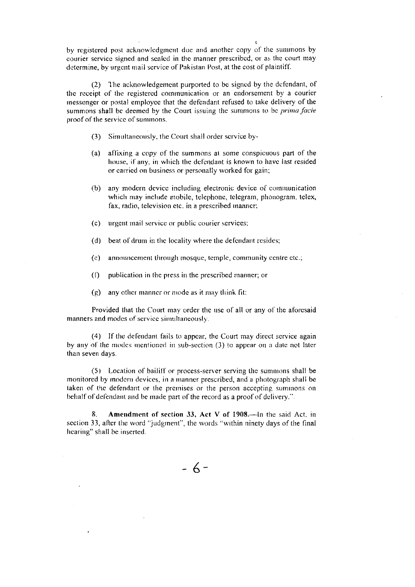by registered post acknowledgment due and another copy of the summons by courier service signed and scaled in the manner prescribed, or as the court may determine, by urgent mail service of Pakistan Post, at the cost of plaintiff.

 $\mathbf{r}$ 

(2) The acknowledgement purported to be signed by the defendant, of the receipt of the registered communication or an endorsement by a courier rnesscngcr or postal employce that the defendant refused to take delivery of the summons shall be deemed by the Court issuing the summons to be *prima facie* proof of the service of summons.

- (3) Simultaneously, the Court shall order scrvice by-
- (a) affixing a copy of the summons at some conspicuous part of the house, if any, in which the defendant is known to have last resided or carried on business or personally worked for gain;
- (b) any modern device including electronic device of communication which may include mobile, telephone, telegram, phonogram, telex, fax, radio, television etc. in a prescribed manner:
- (c) urgent mail service or public courier services;
- (d) beat of drum in the locality where the defendant resides;
- $(c)$  announcement through mosque, temple, community centre etc.;
- $(1)$  publication in the press in the prescribed manner; or
- (g) any other manner or mode as it may think fit:

Provided that the Court may order the use of all or any of the aforesaid manners and modes of service simultaneously.

 $(4)$  If the defendant fails to appear, the Court may direct service again by any of the modes mentioned in sub-section  $(3)$  to appear on a date not later than seven days.

 $(5)$  Location of bailiff or process-server serving the summons shall be monitored by modern devices, in a manner prescribed, and a photograph shall be taken of the defendant or the premises or the person accepting summons on behalf of defendant and be made part of the record as a proof of delivery.".

8. Amendment of section 33, Act V of 1908.—In the said Act, in section 33, after the word "judgment", the words "within ninety days of the final hearing" shall be inserted.

 $-6-$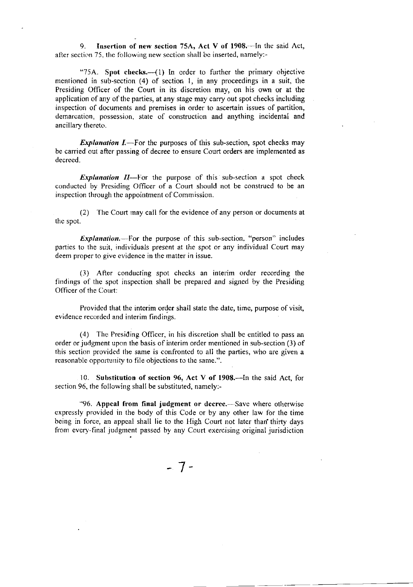9. Insertion of new section 75A, Act V of 1908. $\text{-}$ In the said Act, after section 75, the following new section shall be inserted, namely:-

"75A. Spot checks. $-\left(1\right)$  In order to further the primary objective mentioned in sub-section (4) of section 1, in any proceedings in a suit, the Presiding Officer of the Court in its discretion may, on his own or at the application of any of the parties, at any stagc may carry out spot checks including inspection of documents and premises in order to ascertain issues of partition, demarcation, possession, state of construction and anything incidental and ancillary thereto.

**Explanation I.**—For the purposes of this sub-section, spot checks may be carried out after passing of decree to ensure Court orders are implemented as decreed.

Explanation  $II$ —For the purpose of this sub-section a spot check conducted by Presiding Officer of a Court should not be construcd to be an inspection through the appointment of Commission.

(2) The Court may call for the evidence of any person or documents at thc spot.

Explanation.---------For the purpose of this sub-section, "person" includes partics to the suit, individuals present at the spot or any individual Court may deem proper to give evidence in the matter in issue.

(3) After conducting spot checks an interim order recording the findings of the spot inspection shall be prepared and signed by the Presiding Officer of the Court:

Provided that the interim order shall state the date, time, purpose of visit, evidence recordcd and interim findings.

(4) The Presiding Officcr, in his discretion shall be entitled to pass an order or judgment upon the basis of interim order mentioned in sub-section (3) of this section provided the same is confronted to all the parties, who are given a reasonable opportunity to file objections to the same.".

10. Substitution of section 96, Act V of 1908.—In the said Act, for section 96, the following shall be substituted, namcly:-

"96. Appeal from final judgment or decree.—Save where otherwise expressly provided in the body of this Code or by any other law for the time bcing in force. an appeal shall lie to the High Court not later than'thirty days from every-final judgment passed by any Court exercising original jurisdiction

 $-7-$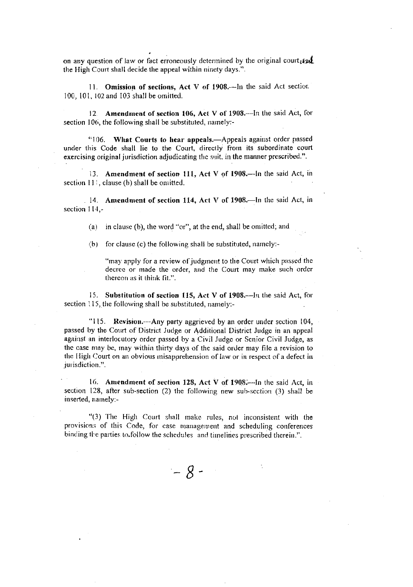on any question of law or fact erroneously determined by the original court  $_{\ell}$ the High Court shall decide the appeal within ninety days.".

11. Omission of sections, Act V of 1908.-- In the said Act section 100, l0l, l02and 103 shall be omitted.

12. Amendment of section 106, Act V of 1908.---In the said Act, for section 106, the following shall be substituted, namely:-

" $106.$  What Courts to hear appeals.—Appeals against order passed under this Code shall lie to the Court, directly from its subordinate court exercising original jurisdiction adjudicating the suit, in the manner prescribed.".

13. Amendment of section 111, Act V of 1908.—In the said Act, in section  $11$ , clause (b) shall be omitted.

14. Amendment of section 114, Act V of 1908.—In the said Act, in section 114 -

(a) in clause (b), the word "or", at the end, shall be omitted; and

(b) for clause (c) the following shall be substituted, namely:-

"may apply for a review of judgment to the Court which passed the decree or made the order, and the Court may make such order thereon as it think  $fit."$ .

15. Substitution of section 115, Act V of 1908.—In the said Act, for section  $115$ , the following shall be substituted, namely:-

"115. Revision.—Any party aggrieved by an order under section 104, passed by the Court of District Judge or Additional District Judge in an appeal against an interlocutory order passed by a Civil Judge or Senior Civil Judge, as the case may be, may within thirty days of the said order may file a revision to the High Court on an obvious misapprehension of law or in respect of a defect in jurisdiction.".

16. Amendment of section 128, Act  $V$  of 1908.—In the said Act, in section 128, after sub-section (2) the following new sub-section (3) shall be inserted, namely:-

" $(3)$  The High Court shall make rules, not inconsistent with the provisions of this Code, for case uanagement and scheduling conferences binding the parties to follow the schedules and timelines prescribed therein.".

 $-8-$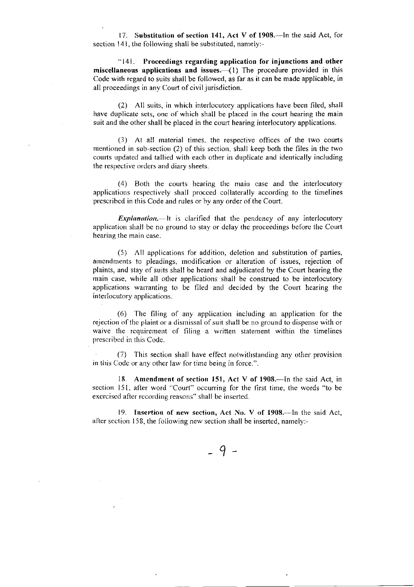17. Substitution of section 141, Act V of 1908.—In the said Act, for section 141, the following shall be substituted, namely:-

"141. Proceedings regarding application for injunctions and other miscellaneous applications and issues.  $(1)$  The procedure provided in this Code with regard to suits shall be followed, as far as it can be made applicable, in all proceedings in any Court of civil jurisdiction.

(2) All suits, in which interlocutory applications have been filed, shall have duplicate sets, one of which shall be placed in the court hearing the main suit and the other shall be placed in the court hearing interlocutory applications.

(3) At all material times, the respective offices of the two courts mentioned in sub-section  $(2)$  of this section, shall keep both the files in the two courts updated and tallied with each other in duplicate and identically including the respective orders and diary sheets.

(4) Both the courts hearing the main case and the interlocutory applications respectively shall procced collaterally according to the timelines prescribcd in this Code and rules or by any order of the Court.

Explanation.  $\equiv$ -lt is clarified that the pendency of any interlocutory application shall be no ground to stay or delay the proceedings before the Court hearing the main case.

 $(5)$  All applications for addition, deletion and substitution of parties, amendments to pleadings, modification or alteration of issues, rejection of plaints, and stay of suits shall be heard and adjudicated by the Court hearing the main case, while all other applications shall be construed to be interlocutory applications warranting to be filed and decided by the Court hearing the interlocutory applications.

 $(6)$  The filing of any application including an application for the rejection of the plaint or a dismissal of suit shall be no ground to dispense with or waive the requirement of filing a written statement within the timelines prescribed in this Codc.

(7) Ihis section shall have effect notrvithstanding any other provision in this Code or any other law for time being in force.".

18. Amendment of section 151, Act V of 1908.—In the said Act, in section 151, after word "Court" occurring for the first time, the words "to be excrciscd after rccording reasons" shall be inserted.

19. Insertion of new section, Act No. V of 1908.-In the said Act, after section 158, the following new section shall be inserted, namely:-

 $-9-$